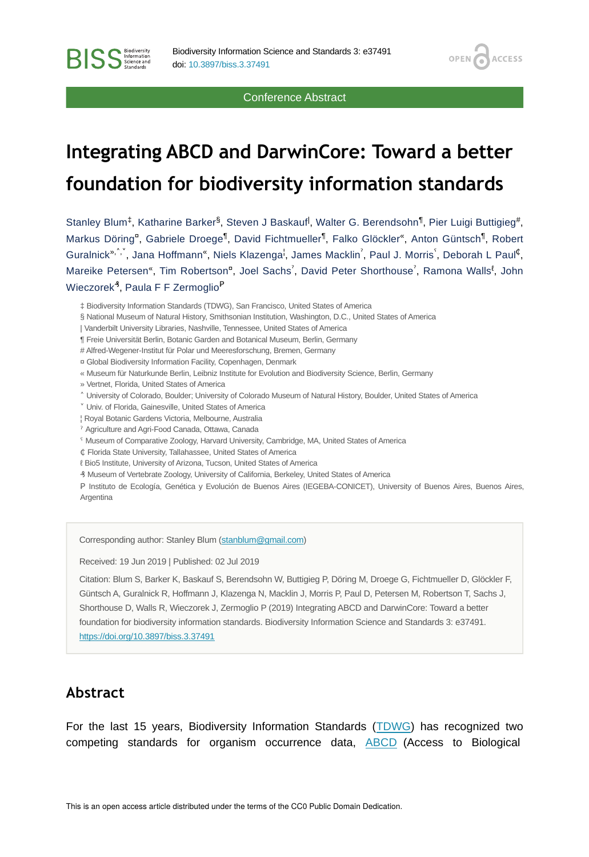#### Conference Abstract

**OPEN** 

**ACCESS** 

# **Integrating ABCD and DarwinCore: Toward a better foundation for biodiversity information standards**

Stanley Blum<sup>‡</sup>, Katharine Barker<sup>§</sup>, Steven J Baskauf<sup>|</sup>, Walter G. Berendsohn<sup>¶</sup>, Pier Luigi Buttigieg<sup>#</sup>, Markus Döring<sup>e</sup>, Gabriele Droege<sup>¶</sup>, David Fichtmueller<sup>¶</sup>, Falko Glöckler<sup>«</sup>, Anton Güntsch<sup>¶</sup>, Robert Guralnick<sup>»,^,</sup>`, Jana Hoffmann<sup>«</sup>, Niels Klazenga<sup>l</sup>, James Macklin<sup>?</sup>, Paul J. Morris`, Deborah L Paul<sup>¢</sup>, Mareike Petersen", Tim Robertson<sup>a</sup>, Joel Sachs<sup>?</sup>, David Peter Shorthouse<sup>?</sup>, Ramona Walls<sup>8</sup>, John Wieczorek<sup>3</sup>, Paula F F Zermoglio<sup>P</sup>

- § National Museum of Natural History, Smithsonian Institution, Washington, D.C., United States of America
- | Vanderbilt University Libraries, Nashville, Tennessee, United States of America
- ¶ Freie Universität Berlin, Botanic Garden and Botanical Museum, Berlin, Germany
- # Alfred-Wegener-Institut für Polar und Meeresforschung, Bremen, Germany
- ¤ Global Biodiversity Information Facility, Copenhagen, Denmark
- « Museum für Naturkunde Berlin, Leibniz Institute for Evolution and Biodiversity Science, Berlin, Germany
- » Vertnet, Florida, United States of America

**BISS** Steince and

- ˄ University of Colorado, Boulder; University of Colorado Museum of Natural History, Boulder, United States of America
- ˅ Univ. of Florida, Gainesville, United States of America
- ¦ Royal Botanic Gardens Victoria, Melbourne, Australia
- ˀ Agriculture and Agri-Food Canada, Ottawa, Canada
- ˁ Museum of Comparative Zoology, Harvard University, Cambridge, MA, United States of America
- ₵ Florida State University, Tallahassee, United States of America
- ℓ Bio5 Institute, University of Arizona, Tucson, United States of America
- ₰ Museum of Vertebrate Zoology, University of California, Berkeley, United States of America

P Instituto de Ecología, Genética y Evolución de Buenos Aires (IEGEBA-CONICET), University of Buenos Aires, Buenos Aires, Argentina

Corresponding author: Stanley Blum ([stanblum@gmail.com\)](mailto:stanblum@gmail.com)

Received: 19 Jun 2019 | Published: 02 Jul 2019

Citation: Blum S, Barker K, Baskauf S, Berendsohn W, Buttigieg P, Döring M, Droege G, Fichtmueller D, Glöckler F, Güntsch A, Guralnick R, Hoffmann J, Klazenga N, Macklin J, Morris P, Paul D, Petersen M, Robertson T, Sachs J, Shorthouse D, Walls R, Wieczorek J, Zermoglio P (2019) Integrating ABCD and DarwinCore: Toward a better foundation for biodiversity information standards. Biodiversity Information Science and Standards 3: e37491. <https://doi.org/10.3897/biss.3.37491>

#### **Abstract**

For the last 15 years, Biodiversity Information Standards ([TDWG](https://tdwg.org)) has recognized two competing standards for organism occurrence data, [ABCD](http://www.tdwg.org/standards/115) (Access to Biological

<sup>‡</sup> Biodiversity Information Standards (TDWG), San Francisco, United States of America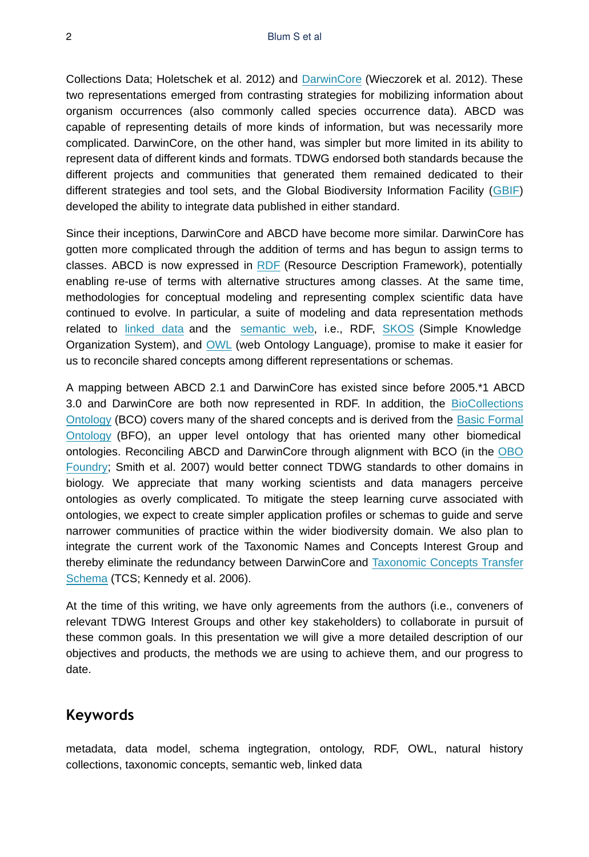Collections Data; Holetschek et al. 2012) and [DarwinCore](http://www.tdwg.org/standards/450) (Wieczorek et al. 2012). These two representations emerged from contrasting strategies for mobilizing information about organism occurrences (also commonly called species occurrence data). ABCD was capable of representing details of more kinds of information, but was necessarily more complicated. DarwinCore, on the other hand, was simpler but more limited in its ability to represent data of different kinds and formats. TDWG endorsed both standards because the different projects and communities that generated them remained dedicated to their different strategies and tool sets, and the Global Biodiversity Information Facility [\(GBIF](https://gbif.org)) developed the ability to integrate data published in either standard.

Since their inceptions, DarwinCore and ABCD have become more similar. DarwinCore has gotten more complicated through the addition of terms and has begun to assign terms to classes. ABCD is now expressed in [RDF](https://www.w3.org/RDF/) (Resource Description Framework), potentially enabling re-use of terms with alternative structures among classes. At the same time, methodologies for conceptual modeling and representing complex scientific data have continued to evolve. In particular, a suite of modeling and data representation methods related to [linked data](https://www.w3.org/standards/semanticweb/data) and the [semantic web](https://www.w3.org/standards/semanticweb/), i.e., RDF, [SKOS](https://www.w3.org/TR/2009/REC-skos-reference-20090818/) (Simple Knowledge Organization System), and [OWL](https://www.w3.org/OWL/) (web Ontology Language), promise to make it easier for us to reconcile shared concepts among different representations or schemas.

A mapping between ABCD 2.1 and DarwinCore has existed since before 2005.\*1 ABCD 3.0 and DarwinCore are both now represented in RDF. In addition, the [BioCollections](https://bioportal.bioontology.org/ontologies/BCO) [Ontology](https://bioportal.bioontology.org/ontologies/BCO) (BCO) covers many of the shared concepts and is derived from the [Basic Formal](https://bioportal.bioontology.org/ontologies/BFO) [Ontology](https://bioportal.bioontology.org/ontologies/BFO) (BFO), an upper level ontology that has oriented many other biomedical ontologies. Reconciling ABCD and DarwinCore through alignment with BCO (in the [OBO](http://www.obofoundry.org/) [Foundry](http://www.obofoundry.org/); Smith et al. 2007) would better connect TDWG standards to other domains in biology. We appreciate that many working scientists and data managers perceive ontologies as overly complicated. To mitigate the steep learning curve associated with ontologies, we expect to create simpler application profiles or schemas to guide and serve narrower communities of practice within the wider biodiversity domain. We also plan to integrate the current work of the Taxonomic Names and Concepts Interest Group and thereby eliminate the redundancy between DarwinCore and [Taxonomic Concepts Transfer](http://www.tdwg.org/standards/117) [Schema](http://www.tdwg.org/standards/117) (TCS; Kennedy et al. 2006).

At the time of this writing, we have only agreements from the authors (i.e., conveners of relevant TDWG Interest Groups and other key stakeholders) to collaborate in pursuit of these common goals. In this presentation we will give a more detailed description of our objectives and products, the methods we are using to achieve them, and our progress to date.

#### **Keywords**

metadata, data model, schema ingtegration, ontology, RDF, OWL, natural history collections, taxonomic concepts, semantic web, linked data